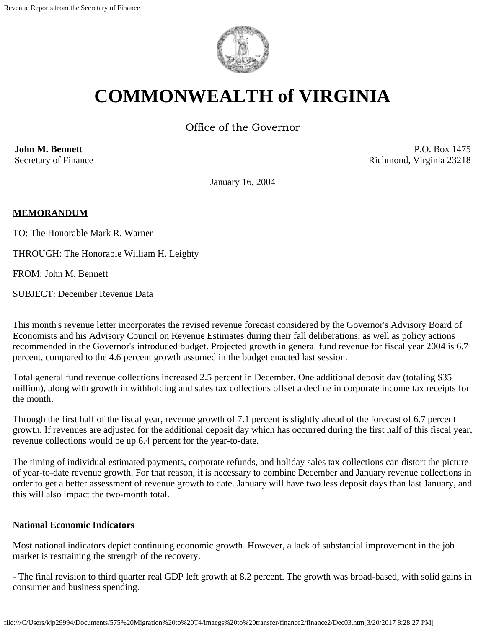

# **COMMONWEALTH of VIRGINIA**

Office of the Governor

**John M. Bennett** Secretary of Finance

P.O. Box 1475 Richmond, Virginia 23218

January 16, 2004

# **MEMORANDUM**

TO: The Honorable Mark R. Warner

THROUGH: The Honorable William H. Leighty

FROM: John M. Bennett

SUBJECT: December Revenue Data

This month's revenue letter incorporates the revised revenue forecast considered by the Governor's Advisory Board of Economists and his Advisory Council on Revenue Estimates during their fall deliberations, as well as policy actions recommended in the Governor's introduced budget. Projected growth in general fund revenue for fiscal year 2004 is 6.7 percent, compared to the 4.6 percent growth assumed in the budget enacted last session.

Total general fund revenue collections increased 2.5 percent in December. One additional deposit day (totaling \$35 million), along with growth in withholding and sales tax collections offset a decline in corporate income tax receipts for the month.

Through the first half of the fiscal year, revenue growth of 7.1 percent is slightly ahead of the forecast of 6.7 percent growth. If revenues are adjusted for the additional deposit day which has occurred during the first half of this fiscal year, revenue collections would be up 6.4 percent for the year-to-date.

The timing of individual estimated payments, corporate refunds, and holiday sales tax collections can distort the picture of year-to-date revenue growth. For that reason, it is necessary to combine December and January revenue collections in order to get a better assessment of revenue growth to date. January will have two less deposit days than last January, and this will also impact the two-month total.

#### **National Economic Indicators**

Most national indicators depict continuing economic growth. However, a lack of substantial improvement in the job market is restraining the strength of the recovery.

- The final revision to third quarter real GDP left growth at 8.2 percent. The growth was broad-based, with solid gains in consumer and business spending.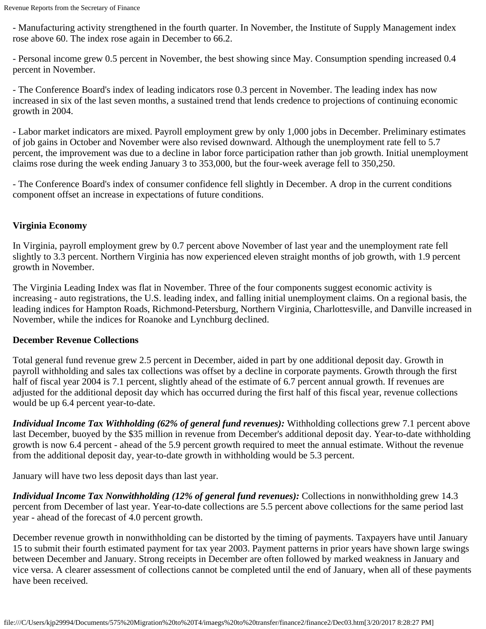- Manufacturing activity strengthened in the fourth quarter. In November, the Institute of Supply Management index rose above 60. The index rose again in December to 66.2.

- Personal income grew 0.5 percent in November, the best showing since May. Consumption spending increased 0.4 percent in November.

- The Conference Board's index of leading indicators rose 0.3 percent in November. The leading index has now increased in six of the last seven months, a sustained trend that lends credence to projections of continuing economic growth in 2004.

- Labor market indicators are mixed. Payroll employment grew by only 1,000 jobs in December. Preliminary estimates of job gains in October and November were also revised downward. Although the unemployment rate fell to 5.7 percent, the improvement was due to a decline in labor force participation rather than job growth. Initial unemployment claims rose during the week ending January 3 to 353,000, but the four-week average fell to 350,250.

- The Conference Board's index of consumer confidence fell slightly in December. A drop in the current conditions component offset an increase in expectations of future conditions.

# **Virginia Economy**

In Virginia, payroll employment grew by 0.7 percent above November of last year and the unemployment rate fell slightly to 3.3 percent. Northern Virginia has now experienced eleven straight months of job growth, with 1.9 percent growth in November.

The Virginia Leading Index was flat in November. Three of the four components suggest economic activity is increasing - auto registrations, the U.S. leading index, and falling initial unemployment claims. On a regional basis, the leading indices for Hampton Roads, Richmond-Petersburg, Northern Virginia, Charlottesville, and Danville increased in November, while the indices for Roanoke and Lynchburg declined.

# **December Revenue Collections**

Total general fund revenue grew 2.5 percent in December, aided in part by one additional deposit day. Growth in payroll withholding and sales tax collections was offset by a decline in corporate payments. Growth through the first half of fiscal year 2004 is 7.1 percent, slightly ahead of the estimate of 6.7 percent annual growth. If revenues are adjusted for the additional deposit day which has occurred during the first half of this fiscal year, revenue collections would be up 6.4 percent year-to-date.

*Individual Income Tax Withholding (62% of general fund revenues):* Withholding collections grew 7.1 percent above last December, buoyed by the \$35 million in revenue from December's additional deposit day. Year-to-date withholding growth is now 6.4 percent - ahead of the 5.9 percent growth required to meet the annual estimate. Without the revenue from the additional deposit day, year-to-date growth in withholding would be 5.3 percent.

January will have two less deposit days than last year.

*Individual Income Tax Nonwithholding (12% of general fund revenues):* Collections in nonwithholding grew 14.3 percent from December of last year. Year-to-date collections are 5.5 percent above collections for the same period last year - ahead of the forecast of 4.0 percent growth.

December revenue growth in nonwithholding can be distorted by the timing of payments. Taxpayers have until January 15 to submit their fourth estimated payment for tax year 2003. Payment patterns in prior years have shown large swings between December and January. Strong receipts in December are often followed by marked weakness in January and vice versa. A clearer assessment of collections cannot be completed until the end of January, when all of these payments have been received.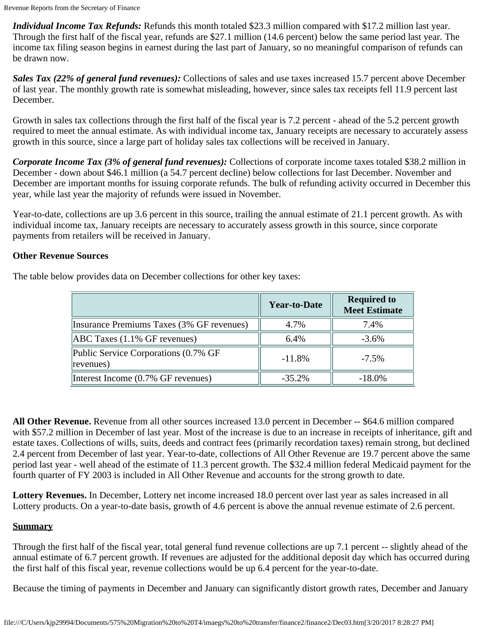*Individual Income Tax Refunds:* Refunds this month totaled \$23.3 million compared with \$17.2 million last year. Through the first half of the fiscal year, refunds are \$27.1 million (14.6 percent) below the same period last year. The income tax filing season begins in earnest during the last part of January, so no meaningful comparison of refunds can be drawn now.

*Sales Tax (22% of general fund revenues):* Collections of sales and use taxes increased 15.7 percent above December of last year. The monthly growth rate is somewhat misleading, however, since sales tax receipts fell 11.9 percent last December.

Growth in sales tax collections through the first half of the fiscal year is 7.2 percent - ahead of the 5.2 percent growth required to meet the annual estimate. As with individual income tax, January receipts are necessary to accurately assess growth in this source, since a large part of holiday sales tax collections will be received in January.

*Corporate Income Tax (3% of general fund revenues):* Collections of corporate income taxes totaled \$38.2 million in December - down about \$46.1 million (a 54.7 percent decline) below collections for last December. November and December are important months for issuing corporate refunds. The bulk of refunding activity occurred in December this year, while last year the majority of refunds were issued in November.

Year-to-date, collections are up 3.6 percent in this source, trailing the annual estimate of 21.1 percent growth. As with individual income tax, January receipts are necessary to accurately assess growth in this source, since corporate payments from retailers will be received in January.

# **Other Revenue Sources**

|                                                   | <b>Year-to-Date</b> | <b>Required to</b><br><b>Meet Estimate</b> |
|---------------------------------------------------|---------------------|--------------------------------------------|
| Insurance Premiums Taxes (3% GF revenues)         | 4.7%                | 7.4%                                       |
| $ABC$ Taxes $(1.1\%$ GF revenues)                 | 6.4%                | $-3.6%$                                    |
| Public Service Corporations (0.7% GF<br>revenues) | $-11.8%$            | $-7.5\%$                                   |
| Interest Income (0.7% GF revenues)                | $-35.2\%$           | $-18.0\%$                                  |

The table below provides data on December collections for other key taxes:

**All Other Revenue.** Revenue from all other sources increased 13.0 percent in December -- \$64.6 million compared with \$57.2 million in December of last year. Most of the increase is due to an increase in receipts of inheritance, gift and estate taxes. Collections of wills, suits, deeds and contract fees (primarily recordation taxes) remain strong, but declined 2.4 percent from December of last year. Year-to-date, collections of All Other Revenue are 19.7 percent above the same period last year - well ahead of the estimate of 11.3 percent growth. The \$32.4 million federal Medicaid payment for the fourth quarter of FY 2003 is included in All Other Revenue and accounts for the strong growth to date.

**Lottery Revenues.** In December, Lottery net income increased 18.0 percent over last year as sales increased in all Lottery products. On a year-to-date basis, growth of 4.6 percent is above the annual revenue estimate of 2.6 percent.

# **Summary**

Through the first half of the fiscal year, total general fund revenue collections are up 7.1 percent -- slightly ahead of the annual estimate of 6.7 percent growth. If revenues are adjusted for the additional deposit day which has occurred during the first half of this fiscal year, revenue collections would be up 6.4 percent for the year-to-date.

Because the timing of payments in December and January can significantly distort growth rates, December and January